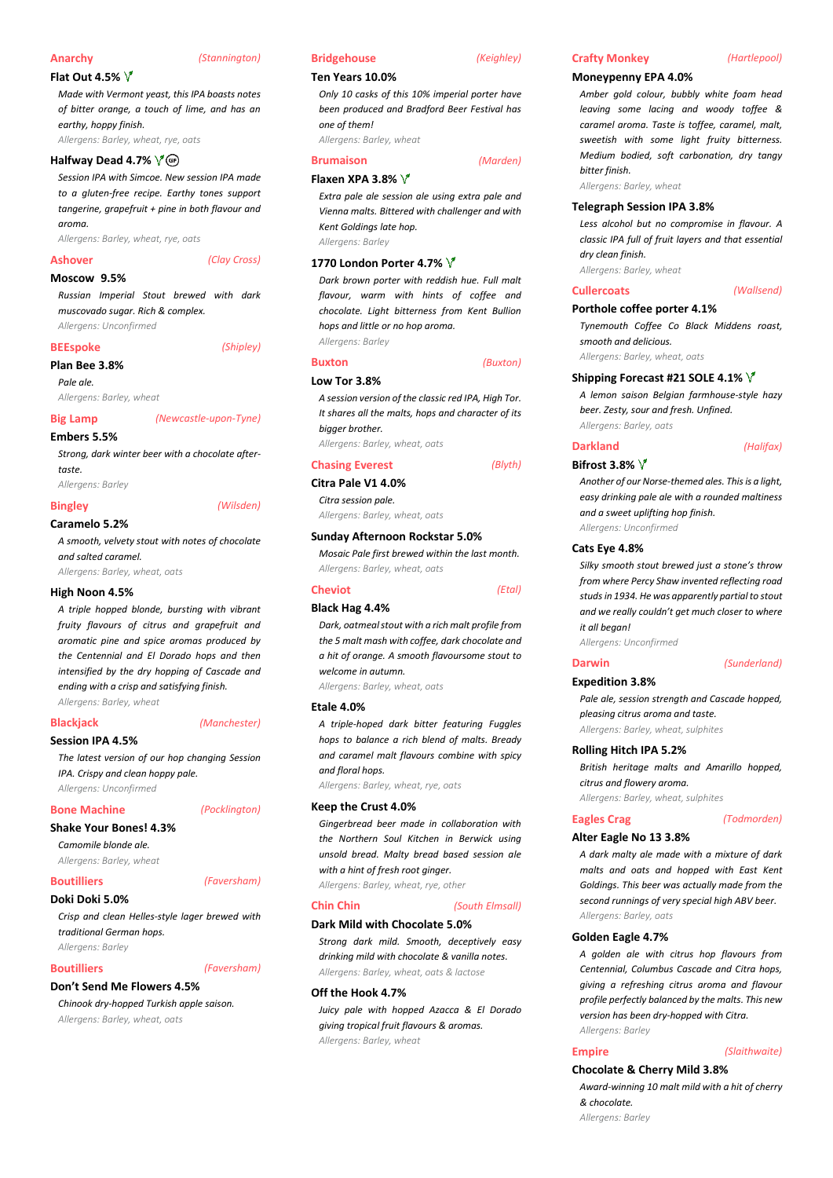#### **Anarchy** *(Stannington)*

**Flat Out 4.5%** 

*Made with Vermont yeast, this IPA boasts notes of bitter orange, a touch of lime, and has an earthy, hoppy finish. Allergens: Barley, wheat, rye, oats*

**Halfway Dead 4.7%** 

*Session IPA with Simcoe. New session IPA made to a gluten-free recipe. Earthy tones support tangerine, grapefruit + pine in both flavour and aroma.*

*Allergens: Barley, wheat, rye, oats*

#### **Ashover** *(Clay Cross)*

#### **Moscow 9.5%**

*Russian Imperial Stout brewed with dark muscovado sugar. Rich & complex. Allergens: Unconfirmed*

#### **BEEspoke** *(Shipley)*

## **Plan Bee 3.8%**

*Pale ale. Allergens: Barley, wheat*

#### **Big Lamp** *(Newcastle-upon-Tyne)*

**Embers 5.5%**

*Strong, dark winter beer with a chocolate aftertaste.*

*Allergens: Barley*

#### **Bingley** *(Wilsden)*

#### **Caramelo 5.2%**

*A smooth, velvety stout with notes of chocolate and salted caramel. Allergens: Barley, wheat, oats*

## **High Noon 4.5%**

*A triple hopped blonde, bursting with vibrant fruity flavours of citrus and grapefruit and aromatic pine and spice aromas produced by the Centennial and El Dorado hops and then intensified by the dry hopping of Cascade and ending with a crisp and satisfying finish. Allergens: Barley, wheat*

#### **Blackjack** *(Manchester)*

### **Session IPA 4.5%**

*The latest version of our hop changing Session IPA. Crispy and clean hoppy pale. Allergens: Unconfirmed*

#### **Bone Machine** *(Pocklington)*

**Shake Your Bones! 4.3%** *Camomile blonde ale.*

*Allergens: Barley, wheat*

#### **Boutilliers** *(Faversham)*

**Doki Doki 5.0%**

*Crisp and clean Helles-style lager brewed with traditional German hops. Allergens: Barley*

#### **Boutilliers** *(Faversham)*

**Don't Send Me Flowers 4.5%**

*Chinook dry-hopped Turkish apple saison. Allergens: Barley, wheat, oats*

#### **Bridgehouse** *(Keighley)*

#### **Ten Years 10.0%**

*Only 10 casks of this 10% imperial porter have been produced and Bradford Beer Festival has one of them! Allergens: Barley, wheat*

**Flaxen XPA 3.8%** 

## **Brumaison** *(Marden)*

*Extra pale ale session ale using extra pale and Vienna malts. Bittered with challenger and with Kent Goldings late hop. Allergens: Barley*

#### **1770 London Porter 4.7%**

*Dark brown porter with reddish hue. Full malt flavour, warm with hints of coffee and chocolate. Light bitterness from Kent Bullion hops and little or no hop aroma. Allergens: Barley*

### **Buxton** *(Buxton)* **Low Tor 3.8%**

*A session version of the classic red IPA, High Tor. It shares all the malts, hops and character of its bigger brother.*

*Allergens: Barley, wheat, oats*

## **Chasing Everest** *(Blyth)*

**Citra Pale V1 4.0%** *Citra session pale.*

*Allergens: Barley, wheat, oats*

#### **Sunday Afternoon Rockstar 5.0%**

*Mosaic Pale first brewed within the last month. Allergens: Barley, wheat, oats*

**Cheviot** *(Etal)*

### **Black Hag 4.4%**

*Dark, oatmeal stout with a rich malt profile from the 5 malt mash with coffee, dark chocolate and a hit of orange. A smooth flavoursome stout to welcome in autumn.*

*Allergens: Barley, wheat, oats*

#### **Etale 4.0%**

*A triple-hoped dark bitter featuring Fuggles hops to balance a rich blend of malts. Bready and caramel malt flavours combine with spicy and floral hops.*

*Allergens: Barley, wheat, rye, oats*

#### **Keep the Crust 4.0%**

*Gingerbread beer made in collaboration with the Northern Soul Kitchen in Berwick using unsold bread. Malty bread based session ale with a hint of fresh root ginger.*

## *Allergens: Barley, wheat, rye, other*

## **Chin Chin** *(South Elmsall)*

**Dark Mild with Chocolate 5.0%**

*Strong dark mild. Smooth, deceptively easy drinking mild with chocolate & vanilla notes. Allergens: Barley, wheat, oats & lactose*

#### **Off the Hook 4.7%**

*Juicy pale with hopped Azacca & El Dorado giving tropical fruit flavours & aromas. Allergens: Barley, wheat*

## **Moneypenny EPA 4.0%**

*Amber gold colour, bubbly white foam head leaving some lacing and woody toffee & caramel aroma. Taste is toffee, caramel, malt, sweetish with some light fruity bitterness. Medium bodied, soft carbonation, dry tangy bitter finish.*

**Crafty Monkey** *(Hartlepool)*

*Allergens: Barley, wheat*

#### **Telegraph Session IPA 3.8%**

*Less alcohol but no compromise in flavour. A classic IPA full of fruit layers and that essential dry clean finish.*

*Allergens: Barley, wheat*

#### **Cullercoats** *(Wallsend)*

**Porthole coffee porter 4.1%**

*Tynemouth Coffee Co Black Middens roast, smooth and delicious.*

*Allergens: Barley, wheat, oats*

### **Shipping Forecast #21 SOLE 4.1%**

*A lemon saison Belgian farmhouse-style hazy beer. Zesty, sour and fresh. Unfined. Allergens: Barley, oats*

**Darkland** *(Halifax)*

#### **Bifrost 3.8%**

*Another of our Norse-themed ales. This is a light, easy drinking pale ale with a rounded maltiness and a sweet uplifting hop finish. Allergens: Unconfirmed*

#### **Cats Eye 4.8%**

*Silky smooth stout brewed just a stone's throw from where Percy Shaw invented reflecting road studs in 1934. He was apparently partial to stout and we really couldn't get much closer to where it all began!*

*Allergens: Unconfirmed*

#### **Darwin** *(Sunderland)*

#### **Expedition 3.8%**

*Pale ale, session strength and Cascade hopped, pleasing citrus aroma and taste.*

*Allergens: Barley, wheat, sulphites*

#### **Rolling Hitch IPA 5.2%**

*British heritage malts and Amarillo hopped, citrus and flowery aroma.*

*Allergens: Barley, wheat, sulphites*

#### **Eagles Crag** *(Todmorden)*

#### **Alter Eagle No 13 3.8%**

*A dark malty ale made with a mixture of dark malts and oats and hopped with East Kent Goldings. This beer was actually made from the second runnings of very special high ABV beer. Allergens: Barley, oats*

#### **Golden Eagle 4.7%**

*& chocolate. Allergens: Barley*

*A golden ale with citrus hop flavours from Centennial, Columbus Cascade and Citra hops, giving a refreshing citrus aroma and flavour profile perfectly balanced by the malts. This new version has been dry-hopped with Citra. Allergens: Barley*

**Empire** *(Slaithwaite)*

*Award-winning 10 malt mild with a hit of cherry* 

**Chocolate & Cherry Mild 3.8%**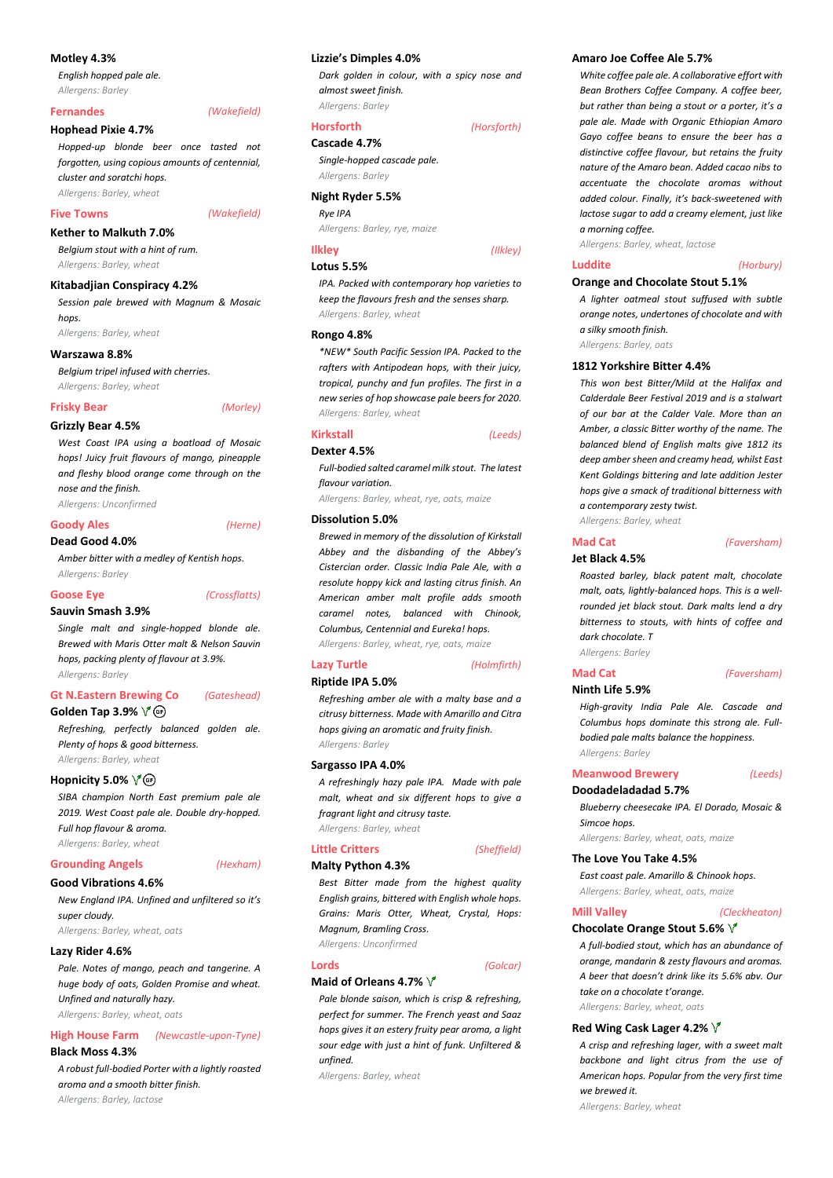### **Motley 4.3%**

*English hopped pale ale. Allergens: Barley*

#### **Fernandes** *(Wakefield)*

#### **Hophead Pixie 4.7%**

*Hopped-up blonde beer once tasted not forgotten, using copious amounts of centennial, cluster and soratchi hops.*

*Allergens: Barley, wheat*

#### **Five Towns** *(Wakefield)*

#### **Kether to Malkuth 7.0%**

*Belgium stout with a hint of rum. Allergens: Barley, wheat*

#### **Kitabadjian Conspiracy 4.2%**

*Session pale brewed with Magnum & Mosaic hops.*

*Allergens: Barley, wheat*

#### **Warszawa 8.8%**

*Belgium tripel infused with cherries. Allergens: Barley, wheat*

#### **Frisky Bear** *(Morley)*

#### **Grizzly Bear 4.5%**

*West Coast IPA using a boatload of Mosaic hops! Juicy fruit flavours of mango, pineapple and fleshy blood orange come through on the nose and the finish.*

*Allergens: Unconfirmed*

#### **Goody Ales** *(Herne)*

### **Dead Good 4.0%**

*Amber bitter with a medley of Kentish hops. Allergens: Barley*

#### **Goose Eye** *(Crossflatts)*

#### **Sauvin Smash 3.9%**

*Single malt and single-hopped blonde ale. Brewed with Maris Otter malt & Nelson Sauvin hops, packing plenty of flavour at 3.9%. Allergens: Barley*

# **Gt N.Eastern Brewing Co** *(Gateshead)*

**Golden Tap 3.9%** 

*Refreshing, perfectly balanced golden ale. Plenty of hops & good bitterness. Allergens: Barley, wheat*

#### **Hopnicity 5.0%**  $\sqrt{\theta}$

*SIBA champion North East premium pale ale 2019. West Coast pale ale. Double dry-hopped. Full hop flavour & aroma. Allergens: Barley, wheat*

**Grounding Angels** *(Hexham)*

### **Good Vibrations 4.6%**

*New England IPA. Unfined and unfiltered so it's super cloudy. Allergens: Barley, wheat, oats*

#### **Lazy Rider 4.6%**

*Pale. Notes of mango, peach and tangerine. A huge body of oats, Golden Promise and wheat. Unfined and naturally hazy. Allergens: Barley, wheat, oats*

### **High House Farm** *(Newcastle-upon-Tyne)* **Black Moss 4.3%**

*A robust full-bodied Porter with a lightly roasted aroma and a smooth bitter finish. Allergens: Barley, lactose*

#### **Lizzie's Dimples 4.0%**

*Dark golden in colour, with a spicy nose and almost sweet finish. Allergens: Barley*

#### **Horsforth** *(Horsforth)*

## **Cascade 4.7%**

*Single-hopped cascade pale. Allergens: Barley*

#### **Night Ryder 5.5%**

*Rye IPA*

*Allergens: Barley, rye, maize*

#### **Ilkley** *(Ilkley)* **Lotus 5.5%**

*IPA. Packed with contemporary hop varieties to keep the flavours fresh and the senses sharp. Allergens: Barley, wheat*

#### **Rongo 4.8%**

*\*NEW\* South Pacific Session IPA. Packed to the rafters with Antipodean hops, with their juicy, tropical, punchy and fun profiles. The first in a new series of hop showcase pale beers for 2020. Allergens: Barley, wheat*

#### **Kirkstall** *(Leeds)*

#### **Dexter 4.5%**

*Full-bodied salted caramel milk stout. The latest flavour variation.*

*Allergens: Barley, wheat, rye, oats, maize*

#### **Dissolution 5.0%**

*Brewed in memory of the dissolution of Kirkstall Abbey and the disbanding of the Abbey's Cistercian order. Classic India Pale Ale, with a resolute hoppy kick and lasting citrus finish. An American amber malt profile adds smooth caramel notes, balanced with Chinook, Columbus, Centennial and Eureka! hops. Allergens: Barley, wheat, rye, oats, maize*

## **Riptide IPA 5.0%**

### *Refreshing amber ale with a malty base and a citrusy bitterness. Made with Amarillo and Citra hops giving an aromatic and fruity finish. Allergens: Barley*

**Sargasso IPA 4.0%**

*A refreshingly hazy pale IPA. Made with pale malt, wheat and six different hops to give a fragrant light and citrusy taste. Allergens: Barley, wheat*

#### **Little Critters** *(Sheffield)* **Malty Python 4.3%**

*Best Bitter made from the highest quality English grains, bittered with English whole hops. Grains: Maris Otter, Wheat, Crystal, Hops: Magnum, Bramling Cross. Allergens: Unconfirmed*

**Lords** *(Golcar)*

### **Maid of Orleans 4.7%**

*Pale blonde saison, which is crisp & refreshing, perfect for summer. The French yeast and Saaz hops gives it an estery fruity pear aroma, a light sour edge with just a hint of funk. Unfiltered & unfined.*

*Allergens: Barley, wheat*

#### **Amaro Joe Coffee Ale 5.7%**

*White coffee pale ale. A collaborative effort with Bean Brothers Coffee Company. A coffee beer, but rather than being a stout or a porter, it's a pale ale. Made with Organic Ethiopian Amaro Gayo coffee beans to ensure the beer has a distinctive coffee flavour, but retains the fruity nature of the Amaro bean. Added cacao nibs to accentuate the chocolate aromas without added colour. Finally, it's back-sweetened with lactose sugar to add a creamy element, just like a morning coffee.*

*Allergens: Barley, wheat, lactose*

#### **Luddite** *(Horbury)*

#### **Orange and Chocolate Stout 5.1%**

*A lighter oatmeal stout suffused with subtle orange notes, undertones of chocolate and with a silky smooth finish.*

*Allergens: Barley, oats*

### **1812 Yorkshire Bitter 4.4%**

*This won best Bitter/Mild at the Halifax and Calderdale Beer Festival 2019 and is a stalwart of our bar at the Calder Vale. More than an Amber, a classic Bitter worthy of the name. The balanced blend of English malts give 1812 its deep amber sheen and creamy head, whilst East Kent Goldings bittering and late addition Jester hops give a smack of traditional bitterness with a contemporary zesty twist.*

*Allergens: Barley, wheat*

#### **Mad Cat** *(Faversham)* **Jet Black 4.5%**

*Roasted barley, black patent malt, chocolate malt, oats, lightly-balanced hops. This is a wellrounded jet black stout. Dark malts lend a dry bitterness to stouts, with hints of coffee and dark chocolate. T Allergens: Barley*

## **Mad Cat** *(Faversham)*

**Ninth Life 5.9%**

*High-gravity India Pale Ale. Cascade and Columbus hops dominate this strong ale. Fullbodied pale malts balance the hoppiness. Allergens: Barley*

**Meanwood Brewery** *(Leeds)*

### **Doodadeladadad 5.7%**

## *Blueberry cheesecake IPA. El Dorado, Mosaic & Simcoe hops.*

*Allergens: Barley, wheat, oats, maize*

### **The Love You Take 4.5%**

*East coast pale. Amarillo & Chinook hops. Allergens: Barley, wheat, oats, maize*

#### **Mill Valley** *(Cleckheaton)*

#### **Chocolate Orange Stout 5.6%**

*A full-bodied stout, which has an abundance of orange, mandarin & zesty flavours and aromas. A beer that doesn't drink like its 5.6% abv. Our take on a chocolate t'orange. Allergens: Barley, wheat, oats*

#### **Red Wing Cask Lager 4.2%**

*A crisp and refreshing lager, with a sweet malt backbone and light citrus from the use of American hops. Popular from the very first time we brewed it.*

*Allergens: Barley, wheat*

**Lazy Turtle** *(Holmfirth)*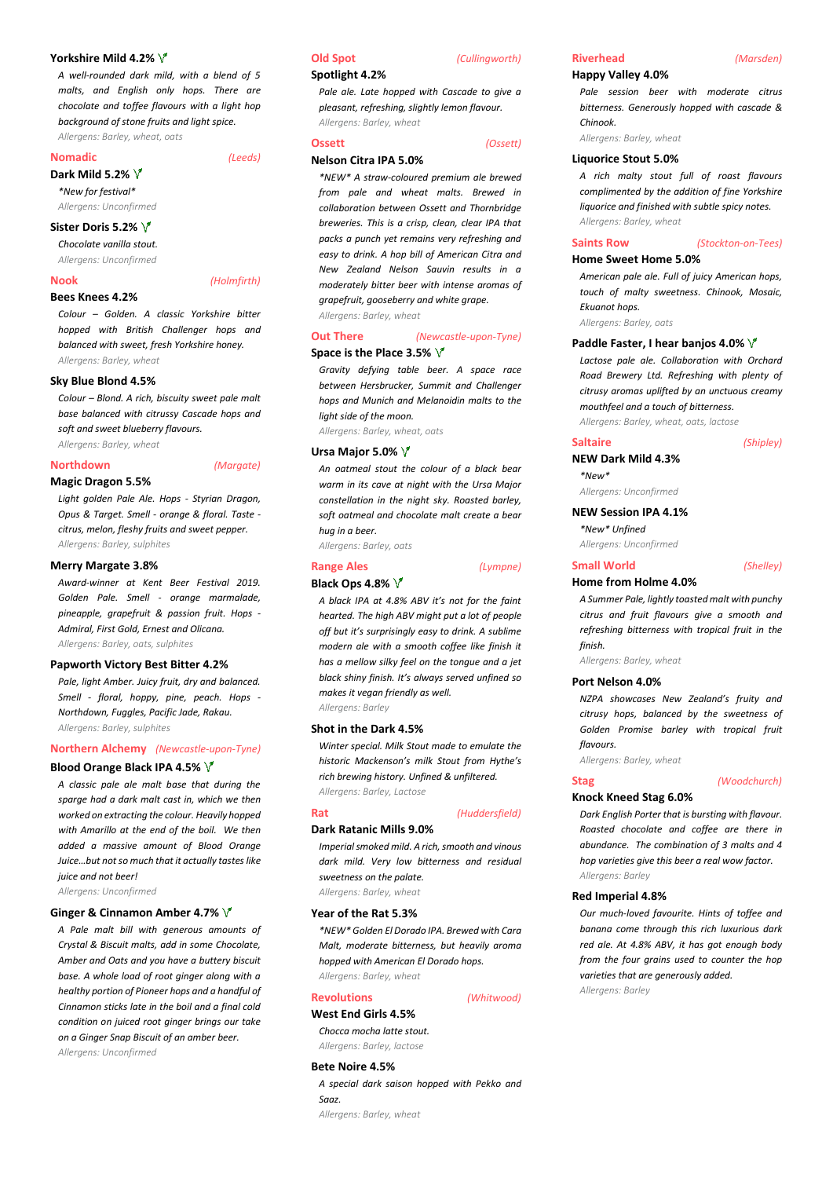#### **Yorkshire Mild 4.2%**

*A well-rounded dark mild, with a blend of 5 malts, and English only hops. There are chocolate and toffee flavours with a light hop background of stone fruits and light spice. Allergens: Barley, wheat, oats*

**Nomadic** *(Leeds)*

#### **Dark Mild 5.2%**

*\*New for festival\* Allergens: Unconfirmed*

#### **Sister Doris 5.2%**

*Chocolate vanilla stout.*

*Allergens: Unconfirmed*

### **Nook** *(Holmfirth)*

#### **Bees Knees 4.2%**

*Colour – Golden. A classic Yorkshire bitter hopped with British Challenger hops and balanced with sweet, fresh Yorkshire honey. Allergens: Barley, wheat*

#### **Sky Blue Blond 4.5%**

*Colour – Blond. A rich, biscuity sweet pale malt base balanced with citrussy Cascade hops and soft and sweet blueberry flavours.*

## *Allergens: Barley, wheat*

#### **Northdown** *(Margate)*

#### **Magic Dragon 5.5%**

*Light golden Pale Ale. Hops - Styrian Dragon, Opus & Target. Smell - orange & floral. Taste citrus, melon, fleshy fruits and sweet pepper. Allergens: Barley, sulphites*

#### **Merry Margate 3.8%**

*Award-winner at Kent Beer Festival 2019. Golden Pale. Smell - orange marmalade, pineapple, grapefruit & passion fruit. Hops - Admiral, First Gold, Ernest and Olicana. Allergens: Barley, oats, sulphites*

#### **Papworth Victory Best Bitter 4.2%**

*Pale, light Amber. Juicy fruit, dry and balanced. Smell - floral, hoppy, pine, peach. Hops - Northdown, Fuggles, Pacific Jade, Rakau. Allergens: Barley, sulphites*

#### **Northern Alchemy** *(Newcastle-upon-Tyne)*

#### **Blood Orange Black IPA 4.5%**

*A classic pale ale malt base that during the sparge had a dark malt cast in, which we then worked on extracting the colour. Heavily hopped with Amarillo at the end of the boil. We then added a massive amount of Blood Orange Juice…but not so much that it actually tastes like juice and not beer!*

*Allergens: Unconfirmed*

#### **Ginger & Cinnamon Amber 4.7%**

*A Pale malt bill with generous amounts of Crystal & Biscuit malts, add in some Chocolate, Amber and Oats and you have a buttery biscuit base. A whole load of root ginger along with a healthy portion of Pioneer hops and a handful of Cinnamon sticks late in the boil and a final cold condition on juiced root ginger brings our take on a Ginger Snap Biscuit of an amber beer. Allergens: Unconfirmed*

## **Old Spot** *(Cullingworth)*

#### **Spotlight 4.2%**

*Pale ale. Late hopped with Cascade to give a pleasant, refreshing, slightly lemon flavour. Allergens: Barley, wheat*

#### **Ossett** *(Ossett)*

#### **Nelson Citra IPA 5.0%**

*\*NEW\* A straw-coloured premium ale brewed from pale and wheat malts. Brewed in collaboration between Ossett and Thornbridge breweries. This is a crisp, clean, clear IPA that packs a punch yet remains very refreshing and easy to drink. A hop bill of American Citra and New Zealand Nelson Sauvin results in a moderately bitter beer with intense aromas of grapefruit, gooseberry and white grape. Allergens: Barley, wheat*

#### **Out There** *(Newcastle-upon-Tyne)* **Space is the Place 3.5%**

*Gravity defying table beer. A space race between Hersbrucker, Summit and Challenger hops and Munich and Melanoidin malts to the light side of the moon.*

*Allergens: Barley, wheat, oats*

#### **Ursa Major 5.0%**

*An oatmeal stout the colour of a black bear warm in its cave at night with the Ursa Major constellation in the night sky. Roasted barley, soft oatmeal and chocolate malt create a bear hug in a beer.*

*Allergens: Barley, oats*

## **Range Ales** *(Lympne)*

### **Black Ops 4.8%**

*A black IPA at 4.8% ABV it's not for the faint hearted. The high ABV might put a lot of people off but it's surprisingly easy to drink. A sublime modern ale with a smooth coffee like finish it has a mellow silky feel on the tongue and a jet black shiny finish. It's always served unfined so makes it vegan friendly as well. Allergens: Barley*

#### **Shot in the Dark 4.5%**

*Winter special. Milk Stout made to emulate the historic Mackenson's milk Stout from Hythe's rich brewing history. Unfined & unfiltered. Allergens: Barley, Lactose*

#### **Dark Ratanic Mills 9.0%**

## **Rat** *(Huddersfield)*

*Imperial smoked mild. A rich, smooth and vinous dark mild. Very low bitterness and residual sweetness on the palate.*

*Allergens: Barley, wheat*

#### **Year of the Rat 5.3%**

*\*NEW\* Golden El Dorado IPA. Brewed with Cara Malt, moderate bitterness, but heavily aroma hopped with American El Dorado hops. Allergens: Barley, wheat*

#### **Revolutions** *(Whitwood)*

# *Chocca mocha latte stout.*

*Allergens: Barley, lactose* **Bete Noire 4.5%**

## *A special dark saison hopped with Pekko and Saaz.*

*Allergens: Barley, wheat*

## **Riverhead** *(Marsden)*

#### **Happy Valley 4.0%**

*Pale session beer with moderate citrus bitterness. Generously hopped with cascade & Chinook.*

*Allergens: Barley, wheat*

### **Liquorice Stout 5.0%**

*A rich malty stout full of roast flavours complimented by the addition of fine Yorkshire liquorice and finished with subtle spicy notes. Allergens: Barley, wheat*

### **Saints Row** *(Stockton-on-Tees)*

#### **Home Sweet Home 5.0%**

*American pale ale. Full of juicy American hops, touch of malty sweetness. Chinook, Mosaic, Ekuanot hops.*

*Allergens: Barley, oats*

#### **Paddle Faster, I hear banjos 4.0%**

*Lactose pale ale. Collaboration with Orchard Road Brewery Ltd. Refreshing with plenty of citrusy aromas uplifted by an unctuous creamy mouthfeel and a touch of bitterness. Allergens: Barley, wheat, oats, lactose*

#### **Saltaire** *(Shipley)*

#### **NEW Dark Mild 4.3%**

*\*New\* Allergens: Unconfirmed*

## **NEW Session IPA 4.1%**

## *\*New\* Unfined*

*Allergens: Unconfirmed*

#### **Home from Holme 4.0%**

*A Summer Pale, lightly toasted malt with punchy citrus and fruit flavours give a smooth and refreshing bitterness with tropical fruit in the finish.*

*Allergens: Barley, wheat*

#### **Port Nelson 4.0%**

*NZPA showcases New Zealand's fruity and citrusy hops, balanced by the sweetness of Golden Promise barley with tropical fruit flavours.*

*Allergens: Barley, wheat*

#### **Stag** *(Woodchurch)*

### **Knock Kneed Stag 6.0%** *Dark English Porter that is bursting with flavour. Roasted chocolate and coffee are there in abundance. The combination of 3 malts and 4 hop varieties give this beer a real wow factor.*

*Allergens: Barley*

#### **Red Imperial 4.8%**

*Our much-loved favourite. Hints of toffee and banana come through this rich luxurious dark red ale. At 4.8% ABV, it has got enough body from the four grains used to counter the hop varieties that are generously added. Allergens: Barley*

#### **Small World** *(Shelley)*

## **West End Girls 4.5%**